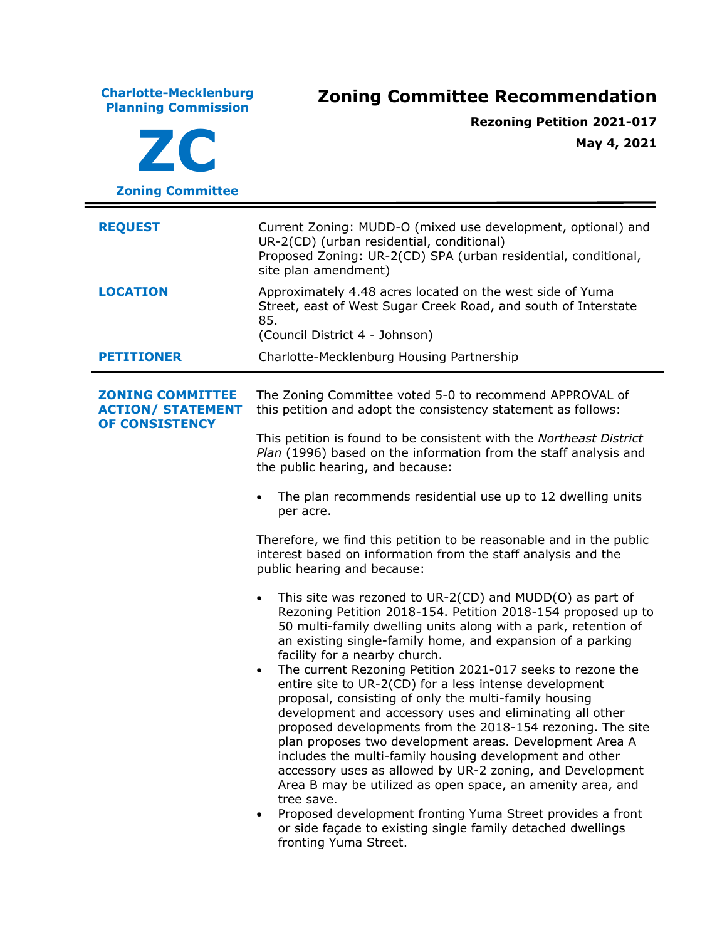**Charlotte-Mecklenburg Planning Commission Zoning Committee Recommendation ZC Zoning Committee Rezoning Petition 2021-017 May 4, 2021 REQUEST** Current Zoning: MUDD-O (mixed use development, optional) and UR-2(CD) (urban residential, conditional) Proposed Zoning: UR-2(CD) SPA (urban residential, conditional, site plan amendment) **LOCATION** Approximately 4.48 acres located on the west side of Yuma Street, east of West Sugar Creek Road, and south of Interstate 85. (Council District 4 - Johnson) **PETITIONER** Charlotte-Mecklenburg Housing Partnership **ZONING COMMITTEE ACTION/ STATEMENT OF CONSISTENCY** The Zoning Committee voted 5-0 to recommend APPROVAL of this petition and adopt the consistency statement as follows: This petition is found to be consistent with the *Northeast District Plan* (1996) based on the information from the staff analysis and the public hearing, and because: • The plan recommends residential use up to 12 dwelling units per acre. Therefore, we find this petition to be reasonable and in the public interest based on information from the staff analysis and the public hearing and because: • This site was rezoned to UR-2(CD) and MUDD(O) as part of Rezoning Petition 2018-154. Petition 2018-154 proposed up to 50 multi-family dwelling units along with a park, retention of an existing single-family home, and expansion of a parking facility for a nearby church. • The current Rezoning Petition 2021-017 seeks to rezone the entire site to UR-2(CD) for a less intense development proposal, consisting of only the multi-family housing development and accessory uses and eliminating all other proposed developments from the 2018-154 rezoning. The site plan proposes two development areas. Development Area A includes the multi-family housing development and other accessory uses as allowed by UR-2 zoning, and Development Area B may be utilized as open space, an amenity area, and tree save. • Proposed development fronting Yuma Street provides a front or side façade to existing single family detached dwellings fronting Yuma Street.